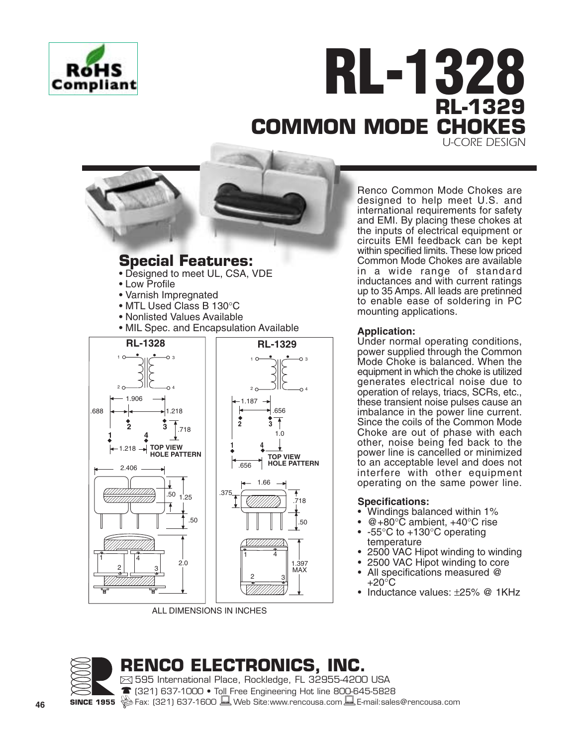

# **RL-1328 RL-1329 COMMON MODE CHOK** *U-CORE DESIGN*

# **Special Features:**

- Designed to meet UL, CSA, VDE
- Low Profile
- Varnish Impregnated
- MTL Used Class B 130°C
- Nonlisted Values Available
- MIL Spec. and Encapsulation Available



ALL DIMENSIONS IN INCHES

Renco Common Mode Chokes are designed to help meet U.S. and international requirements for safety and EMI. By placing these chokes at the inputs of electrical equipment or circuits EMI feedback can be kept within specified limits. These low priced Common Mode Chokes are available in a wide range of standard inductances and with current ratings up to 35 Amps. All leads are pretinned to enable ease of soldering in PC mounting applications.

## **Application:**

Under normal operating conditions, power supplied through the Common Mode Choke is balanced. When the equipment in which the choke is utilized generates electrical noise due to operation of relays, triacs, SCRs, etc., these transient noise pulses cause an imbalance in the power line current. Since the coils of the Common Mode Choke are out of phase with each other, noise being fed back to the power line is cancelled or minimized to an acceptable level and does not interfere with other equipment operating on the same power line.

### **Specifications:**

- Windings balanced within 1%
- $@+80^{\circ}$ C ambient,  $+40^{\circ}$ C rise
- -55°C to +130°C operating temperature
- 2500 VAC Hipot winding to winding
- 2500 VAC Hipot winding to core
- All specifications measured @  $+20^{\circ}$ C
- Inductance values: ±25% @ 1KHz



**RENCO ELECTRONICS, INC.** 595 International Place, Rockledge, FL 32955-4200 USA

(321) 637-1000 • Toll Free Engineering Hot line 800-645-5828 **SINCE 1955** SEX: (321) 637-1600 Web Site:www.rencousa.com LE-mail:sales@rencousa.com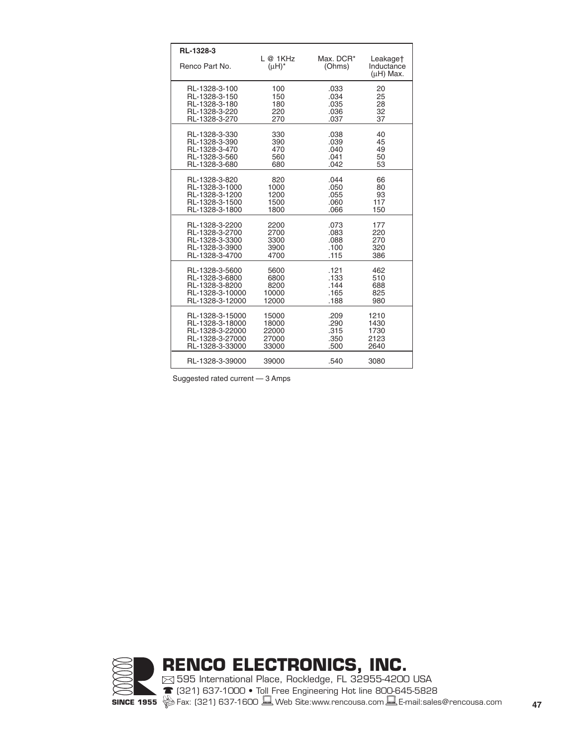| RL-1328-3       | L@1KHz      | Max. DCR* |                                       |
|-----------------|-------------|-----------|---------------------------------------|
| Renco Part No.  | $(\mu H)^*$ | (Ohms)    | Leakage†<br>Inductance<br>$(uH)$ Max. |
| RL-1328-3-100   | 100         | .033      | 20                                    |
| RL-1328-3-150   | 150         | .034      | 25                                    |
| RL-1328-3-180   | 180         | .035      | 28                                    |
| RL-1328-3-220   | 220         | .036      | 32                                    |
| RL-1328-3-270   | 270         | .037      | 37                                    |
| RL-1328-3-330   | 330         | .038      | 40                                    |
| RL-1328-3-390   | 390         | .039      | 45                                    |
| RL-1328-3-470   | 470         | .040      | 49                                    |
| RL-1328-3-560   | 560         | .041      | 50                                    |
| RL-1328-3-680   | 680         | .042      | 53                                    |
| RL-1328-3-820   | 820         | .044      | 66                                    |
| RL-1328-3-1000  | 1000        | .050      | 80                                    |
| RL-1328-3-1200  | 1200        | .055      | 93                                    |
| RL-1328-3-1500  | 1500        | .060      | 117                                   |
| RL-1328-3-1800  | 1800        | .066      | 150                                   |
| RL-1328-3-2200  | 2200        | .073      | 177                                   |
| RL-1328-3-2700  | 2700        | .083      | 220                                   |
| RL-1328-3-3300  | 3300        | .088      | 270                                   |
| RL-1328-3-3900  | 3900        | .100      | 320                                   |
| RL-1328-3-4700  | 4700        | .115      | 386                                   |
| RL-1328-3-5600  | 5600        | .121      | 462                                   |
| RL-1328-3-6800  | 6800        | .133      | 510                                   |
| RL-1328-3-8200  | 8200        | .144      | 688                                   |
| RL-1328-3-10000 | 10000       | .165      | 825                                   |
| RL-1328-3-12000 | 12000       | .188      | 980                                   |
| RL-1328-3-15000 | 15000       | .209      | 1210                                  |
| RL-1328-3-18000 | 18000       | .290      | 1430                                  |
| RL-1328-3-22000 | 22000       | .315      | 1730                                  |
| RL-1328-3-27000 | 27000       | .350      | 2123                                  |
| RL-1328-3-33000 | 33000       | .500      | 2640                                  |
| RL-1328-3-39000 | 39000       | .540      | 3080                                  |

Suggested rated current — 3 Amps

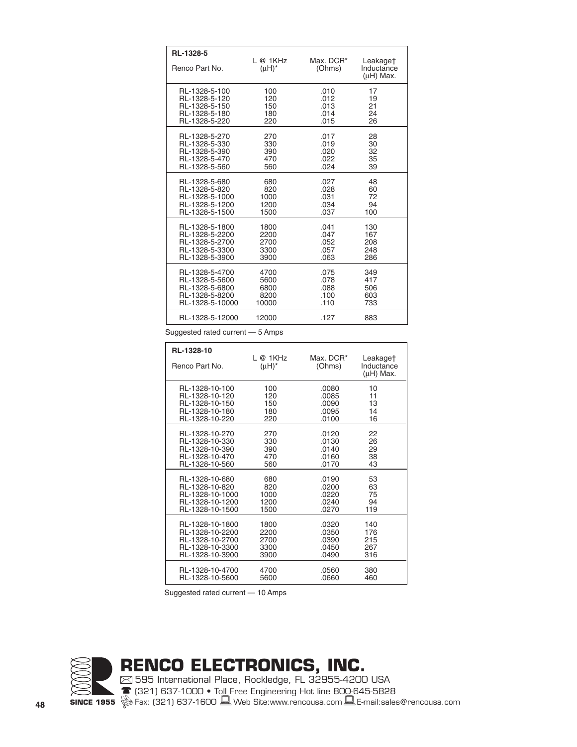| RL-1328-5       |                       |                     |                                          |
|-----------------|-----------------------|---------------------|------------------------------------------|
| Renco Part No.  | L@1KHz<br>$(\mu H)^*$ | Max. DCR*<br>(Ohms) | Leakage†<br>Inductance<br>$(\mu H)$ Max. |
| RL-1328-5-100   | 100                   | .010                | 17                                       |
| RL-1328-5-120   | 120                   | .012                | 19                                       |
| RL-1328-5-150   | 150                   | .013                | 21                                       |
| RL-1328-5-180   | 180                   | .014                | 24                                       |
| RL-1328-5-220   | 220                   | .015                | 26                                       |
| RL-1328-5-270   | 270                   | .017                | 28                                       |
| RL-1328-5-330   | 330                   | .019                | 30                                       |
| RL-1328-5-390   | 390                   | .020                | 32                                       |
| RL-1328-5-470   | 470                   | .022                | 35                                       |
| RL-1328-5-560   | 560                   | .024                | 39                                       |
| RL-1328-5-680   | 680                   | .027                | 48                                       |
| RL-1328-5-820   | 820                   | .028                | 60                                       |
| RL-1328-5-1000  | 1000                  | .031                | 72                                       |
| RL-1328-5-1200  | 1200                  | .034                | 94                                       |
| RL-1328-5-1500  | 1500                  | .037                | 100                                      |
| RL-1328-5-1800  | 1800                  | .041                | 130                                      |
| RL-1328-5-2200  | 2200                  | .047                | 167                                      |
| RL-1328-5-2700  | 2700                  | .052                | 208                                      |
| RL-1328-5-3300  | 3300                  | .057                | 248                                      |
| RL-1328-5-3900  | 3900                  | .063                | 286                                      |
| RL-1328-5-4700  | 4700                  | .075                | 349                                      |
| RL-1328-5-5600  | 5600                  | .078                | 417                                      |
| RL-1328-5-6800  | 6800                  | .088                | 506                                      |
| RL-1328-5-8200  | 8200                  | .100                | 603                                      |
| RL-1328-5-10000 | 10000                 | .110                | 733                                      |
| RL-1328-5-12000 | 12000                 | .127                | 883                                      |

Suggested rated current — 5 Amps

| RL-1328-10<br>Renco Part No. | @ 1KH <sub>7</sub><br>$(\mu H)^*$ | Max. DCR*<br>(Ohms) | Leakage†<br>Inductance<br>$(\mu H)$ Max. |
|------------------------------|-----------------------------------|---------------------|------------------------------------------|
| RL-1328-10-100               | 100                               | .0080               | 10                                       |
| RL-1328-10-120               | 120                               | .0085               | 11                                       |
| RL-1328-10-150               | 150                               | .0090               | 13                                       |
| RL-1328-10-180               | 180                               | .0095               | 14                                       |
| RL-1328-10-220               | 220                               | .0100               | 16                                       |
| RL-1328-10-270               | 270                               | .0120               | 22                                       |
| RL-1328-10-330               | 330                               | .0130               | 26                                       |
| RL-1328-10-390               | 390                               | .0140               | 29                                       |
| RL-1328-10-470               | 470                               | .0160               | 38                                       |
| RL-1328-10-560               | 560                               | .0170               | 43                                       |
| RL-1328-10-680               | 680                               | .0190               | 53                                       |
| RL-1328-10-820               | 820                               | .0200               | 63                                       |
| RL-1328-10-1000              | 1000                              | .0220               | 75                                       |
| RL-1328-10-1200              | 1200                              | .0240               | 94                                       |
| RL-1328-10-1500              | 1500                              | .0270               | 119                                      |
| RL-1328-10-1800              | 1800                              | .0320               | 140                                      |
| RL-1328-10-2200              | 2200                              | .0350               | 176                                      |
| RL-1328-10-2700              | 2700                              | .0390               | 215                                      |
| RL-1328-10-3300              | 3300                              | .0450               | 267                                      |
| RL-1328-10-3900              | 3900                              | .0490               | 316                                      |
| RL-1328-10-4700              | 4700                              | .0560               | 380                                      |
| RL-1328-10-5600              | 5600                              | .0660               | 460                                      |

Suggested rated current — 10 Amps



**RENCO ELECTRONICS, INC.** 595 International Place, Rockledge, FL 32955-4200 USA (321) 637-1000 • Toll Free Engineering Hot line 800-645-5828 **48 SINCE 1955** 《参 Fax: (321) 637-1600 旦 Web Site:www.rencousa.com 旦 E-mail:sales@rencousa.com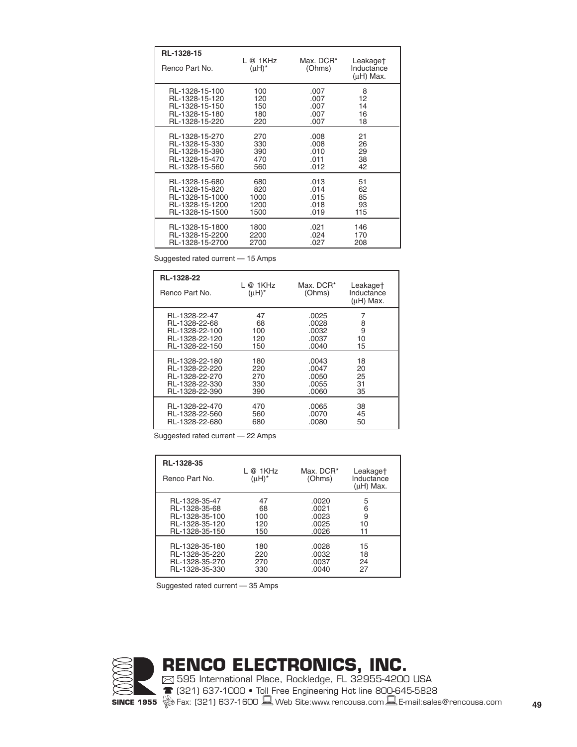| RL-1328-15<br>Renco Part No. | L @ 1KHz<br>$(\mu H)^*$ | Max. DCR*<br>(Ohms) | Leakage†<br>Inductance<br>$(\mu H)$ Max. |
|------------------------------|-------------------------|---------------------|------------------------------------------|
| RL-1328-15-100               | 100                     | .007                | 8                                        |
| RL-1328-15-120               | 120                     | .007                | 12                                       |
| RL-1328-15-150               | 150                     | .007                | 14                                       |
| RL-1328-15-180               | 180                     | .007                | 16                                       |
| RL-1328-15-220               | 220                     | .007                | 18                                       |
| RL-1328-15-270               | 270                     | .008                | 21                                       |
| RL-1328-15-330               | 330                     | .008                | 26                                       |
| RL-1328-15-390               | 390                     | .010                | 29                                       |
| RL-1328-15-470               | 470                     | .011                | 38                                       |
| RL-1328-15-560               | 560                     | .012                | 42                                       |
| RL-1328-15-680               | 680                     | .013                | 51                                       |
| RL-1328-15-820               | 820                     | .014                | 62                                       |
| RL-1328-15-1000              | 1000                    | .015                | 85                                       |
| RL-1328-15-1200              | 1200                    | .018                | 93                                       |
| RL-1328-15-1500              | 1500                    | .019                | 115                                      |
| RL-1328-15-1800              | 1800                    | .021                | 146                                      |
| RL-1328-15-2200              | 2200                    | .024                | 170                                      |
| RL-1328-15-2700              | 2700                    | .027                | 208                                      |

Suggested rated current — 15 Amps

| RL-1328-22<br><b>Renco Part No.</b> | L @ 1KHz<br>$(uH)^*$ | Max. DCR*<br>(Ohms) | Leakage†<br>Inductance<br>$(\mu H)$ Max. |
|-------------------------------------|----------------------|---------------------|------------------------------------------|
| RL-1328-22-47                       | 47                   | .0025               | 7                                        |
| RL-1328-22-68                       | 68                   | .0028               | 8                                        |
| RL-1328-22-100                      | 100                  | .0032               | 9                                        |
| RL-1328-22-120                      | 120                  | .0037               | 10                                       |
| RL-1328-22-150                      | 150                  | .0040               | 15                                       |
| RL-1328-22-180                      | 180                  | .0043               | 18                                       |
| RL-1328-22-220                      | 220                  | .0047               | 20                                       |
| RL-1328-22-270                      | 270                  | .0050               | 25                                       |
| RL-1328-22-330                      | 330                  | .0055               | 31                                       |
| RL-1328-22-390                      | 390                  | .0060               | 35                                       |
| RL-1328-22-470                      | 470                  | .0065               | 38                                       |
| RL-1328-22-560                      | 560                  | .0070               | 45                                       |
| RL-1328-22-680                      | 680                  | .0080               | 50                                       |

Suggested rated current — 22 Amps

| RL-1328-35<br>Renco Part No. | L@1KHz<br>$(\mu H)^*$ | Max. DCR*<br>(Ohms) | Leakage†<br>Inductance<br>$(\mu H)$ Max. |
|------------------------------|-----------------------|---------------------|------------------------------------------|
| RL-1328-35-47                | 47                    | .0020               | 5                                        |
| RL-1328-35-68                | 68                    | .0021               | 6                                        |
| RL-1328-35-100               | 100                   | .0023               | 9                                        |
| RL-1328-35-120               | 120                   | .0025               | 10                                       |
| RL-1328-35-150               | 150                   | .0026               | 11                                       |
| RL-1328-35-180               | 180                   | .0028               | 15                                       |
| RL-1328-35-220               | 220                   | .0032               | 18                                       |
| RL-1328-35-270               | 270                   | .0037               | 24                                       |
| RL-1328-35-330               | 330                   | .0040               | 27                                       |

Suggested rated current — 35 Amps

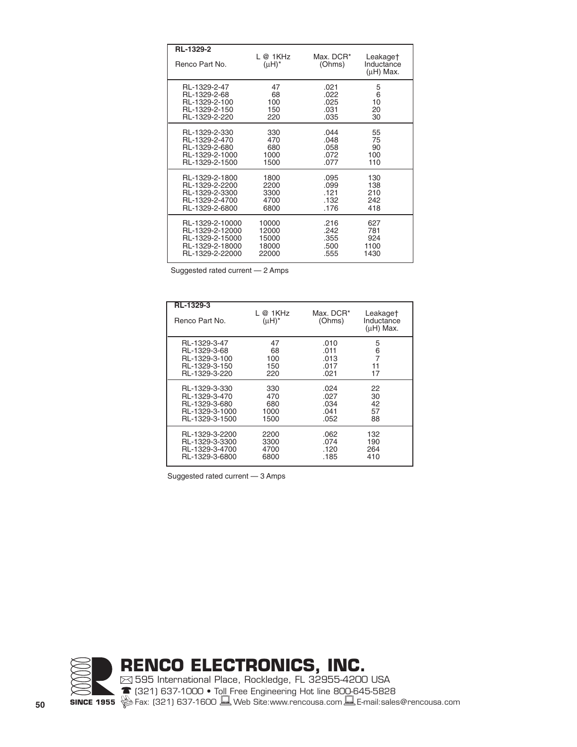| RL-1329-2<br>Renco Part No. | L@1KHz<br>$(\mu H)^*$ | Max. DCR*<br>(Ohms) | Leakage†<br>Inductance<br>$(\mu H)$ Max. |
|-----------------------------|-----------------------|---------------------|------------------------------------------|
| RL-1329-2-47                | 47                    | .021                | 5                                        |
| RL-1329-2-68                | 68                    | .022                | 6                                        |
| RL-1329-2-100               | 100                   | .025                | 10                                       |
| RL-1329-2-150               | 150                   | .031                | 20                                       |
| RL-1329-2-220               | 220                   | .035                | 30                                       |
| RL-1329-2-330               | 330                   | .044                | 55                                       |
| RL-1329-2-470               | 470                   | .048                | 75                                       |
| RL-1329-2-680               | 680                   | .058                | 90                                       |
| RL-1329-2-1000              | 1000                  | .072                | 100                                      |
| RL-1329-2-1500              | 1500                  | .077                | 110                                      |
| RL-1329-2-1800              | 1800                  | .095                | 130                                      |
| RL-1329-2-2200              | 2200                  | .099                | 138                                      |
| RL-1329-2-3300              | 3300                  | .121                | 210                                      |
| RL-1329-2-4700              | 4700                  | .132                | 242                                      |
| RL-1329-2-6800              | 6800                  | .176                | 418                                      |
| RL-1329-2-10000             | 10000                 | .216                | 627                                      |
| RL-1329-2-12000             | 12000                 | .242                | 781                                      |
| RL-1329-2-15000             | 15000                 | .355                | 924                                      |
| RL-1329-2-18000             | 18000                 | .500                | 1100                                     |
| RL-1329-2-22000             | 22000                 | .555                | 1430                                     |

Suggested rated current — 2 Amps

| RL-1329-3<br>Renco Part No. | L @ 1KHz<br>$(uH)^*$ | Max. DCR*<br>(Ohms) | Leakage†<br>Inductance<br>$(\mu H)$ Max. |
|-----------------------------|----------------------|---------------------|------------------------------------------|
| RL-1329-3-47                | 47                   | .010                | 5                                        |
| RL-1329-3-68                | 68                   | .011                | 6                                        |
| RL-1329-3-100               | 100                  | .013                | $\overline{7}$                           |
| RL-1329-3-150               | 150                  | .017                | 11                                       |
| RL-1329-3-220               | 220                  | .021                | 17                                       |
| RL-1329-3-330               | 330                  | .024                | 22                                       |
| RL-1329-3-470               | 470                  | .027                | 30                                       |
| RL-1329-3-680               | 680                  | .034                | 42                                       |
| RL-1329-3-1000              | 1000                 | .041                | 57                                       |
| RL-1329-3-1500              | 1500                 | .052                | 88                                       |
| RL-1329-3-2200              | 2200                 | .062                | 132                                      |
| RL-1329-3-3300              | 3300                 | .074                | 190                                      |
| RL-1329-3-4700              | 4700                 | .120                | 264                                      |
| RL-1329-3-6800              | 6800                 | .185                | 410                                      |

Suggested rated current — 3 Amps

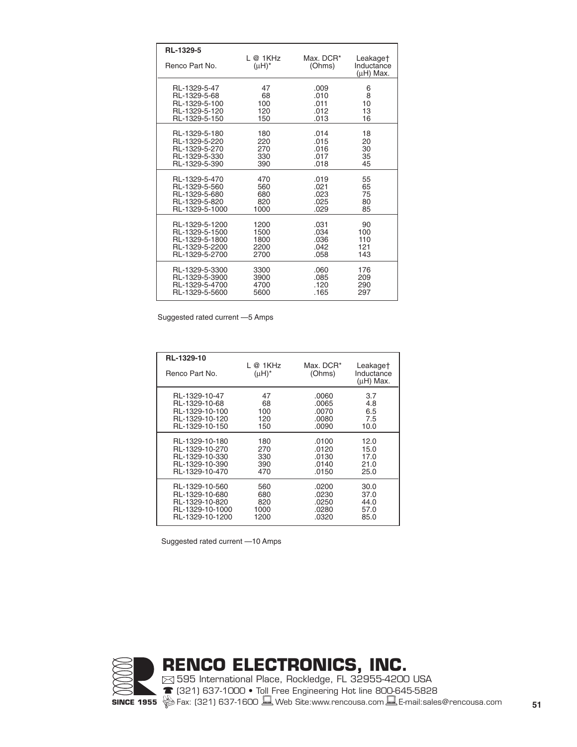| RL-1329-5<br>Renco Part No. | L@1KHz<br>$(\mu H)^*$ | Max. DCR*<br>(Ohms) | Leakage†<br>Inductance<br>$(uH)$ Max. |
|-----------------------------|-----------------------|---------------------|---------------------------------------|
| RL-1329-5-47                | 47                    | .009                | 6                                     |
| RL-1329-5-68                | 68                    | .010                | 8                                     |
| RL-1329-5-100               | 100                   | .011                | 10                                    |
| RL-1329-5-120               | 120                   | .012                | 13                                    |
| RL-1329-5-150               | 150                   | .013                | 16                                    |
| RL-1329-5-180               | 180                   | .014                | 18                                    |
| RL-1329-5-220               | 220                   | .015                | 20                                    |
| RL-1329-5-270               | 270                   | .016                | 30                                    |
| RL-1329-5-330               | 330                   | .017                | 35                                    |
| RL-1329-5-390               | 390                   | .018                | 45                                    |
| RL-1329-5-470               | 470                   | .019                | 55                                    |
| RL-1329-5-560               | 560                   | .021                | 65                                    |
| RL-1329-5-680               | 680                   | .023                | 75                                    |
| RL-1329-5-820               | 820                   | .025                | 80                                    |
| RL-1329-5-1000              | 1000                  | .029                | 85                                    |
| RL-1329-5-1200              | 1200                  | .031                | 90                                    |
| RL-1329-5-1500              | 1500                  | .034                | 100                                   |
| RL-1329-5-1800              | 1800                  | .036                | 110                                   |
| RL-1329-5-2200              | 2200                  | .042                | 121                                   |
| RL-1329-5-2700              | 2700                  | .058                | 143                                   |
| RL-1329-5-3300              | 3300                  | .060                | 176                                   |
| RL-1329-5-3900              | 3900                  | .085                | 209                                   |
| RL-1329-5-4700              | 4700                  | .120                | 290                                   |
| RL-1329-5-5600              | 5600                  | .165                | 297                                   |

Suggested rated current —5 Amps

| RL-1329-10<br>Renco Part No. | L @ 1KHz<br>$(\mu H)^*$ | Max. DCR*<br>(Ohms) | Leakage†<br>Inductance<br>$(\mu H)$ Max. |
|------------------------------|-------------------------|---------------------|------------------------------------------|
| RL-1329-10-47                | 47                      | .0060               | 3.7                                      |
| RL-1329-10-68                | 68                      | .0065               | 4.8                                      |
| RL-1329-10-100               | 100                     | .0070               | 6.5                                      |
| RL-1329-10-120               | 120                     | .0080               | 7.5                                      |
| RL-1329-10-150               | 150                     | .0090               | 10.0                                     |
| RL-1329-10-180               | 180                     | .0100               | 12.0                                     |
| RL-1329-10-270               | 270                     | .0120               | 15.0                                     |
| RL-1329-10-330               | 330                     | .0130               | 17.0                                     |
| RL-1329-10-390               | 390                     | .0140               | 21.0                                     |
| RL-1329-10-470               | 470                     | .0150               | 25.0                                     |
| RL-1329-10-560               | 560                     | .0200               | 30.0                                     |
| RL-1329-10-680               | 680                     | .0230               | 37.0                                     |
| RL-1329-10-820               | 820                     | .0250               | 44.0                                     |
| RL-1329-10-1000              | 1000                    | .0280               | 57.0                                     |
| RL-1329-10-1200              | 1200                    | .0320               | 85.0                                     |

Suggested rated current —10 Amps